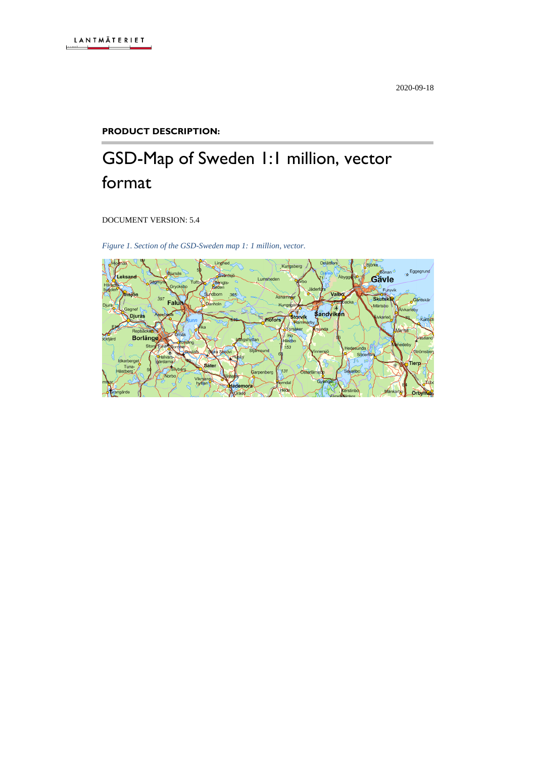#### **PRODUCT DESCRIPTION:**

# GSD-Map of Sweden 1:1 million, vector format

DOCUMENT VERSION: 5.4

*Figure 1. Section of the GSD-Sweden map 1: 1 million, vector.*

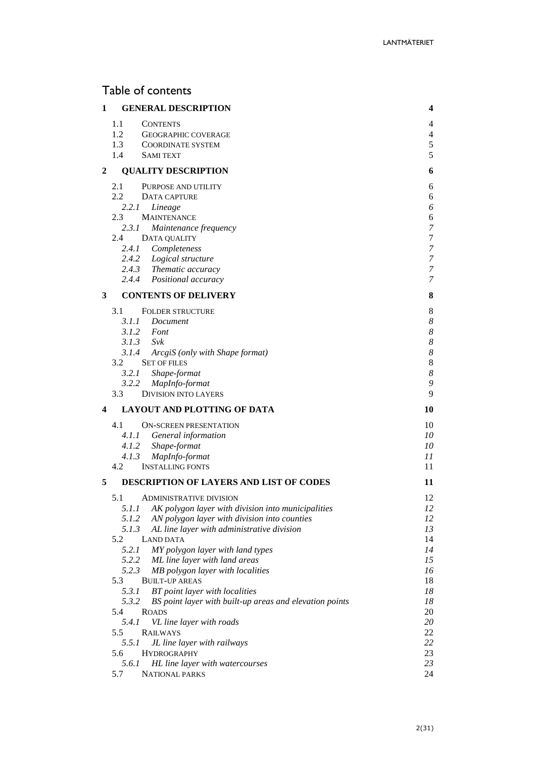# Table of contents

| 1 | <b>GENERAL DESCRIPTION</b>                                                                                  | 4                                    |
|---|-------------------------------------------------------------------------------------------------------------|--------------------------------------|
|   | 1.1<br><b>CONTENTS</b>                                                                                      | 4                                    |
|   | 1.2<br><b>GEOGRAPHIC COVERAGE</b><br>1.3                                                                    | $\overline{4}$<br>5                  |
|   | <b>COORDINATE SYSTEM</b><br>1.4<br><b>SAMI TEXT</b>                                                         | 5                                    |
| 2 | <b>QUALITY DESCRIPTION</b>                                                                                  | 6                                    |
|   | 2.1                                                                                                         |                                      |
|   | PURPOSE AND UTILITY<br>2.2<br>DATA CAPTURE                                                                  | 6<br>6                               |
|   | 2.2.1<br>Lineage                                                                                            | 6                                    |
|   | 2.3<br><b>MAINTENANCE</b>                                                                                   | 6                                    |
|   | 2.3.1<br>Maintenance frequency                                                                              | $\boldsymbol{7}$                     |
|   | 2.4<br>DATA QUALITY                                                                                         | $\sqrt{ }$                           |
|   | 2.4.1 Completeness<br>2.4.2 Logical structure                                                               | $\boldsymbol{7}$<br>$\overline{7}$   |
|   | 2.4.3 Thematic accuracy                                                                                     | 7                                    |
|   | 2.4.4 Positional accuracy                                                                                   | 7                                    |
| 3 | <b>CONTENTS OF DELIVERY</b>                                                                                 | 8                                    |
|   | 3.1<br><b>FOLDER STRUCTURE</b>                                                                              | 8                                    |
|   | 3.1.1 Document                                                                                              | $\boldsymbol{8}$                     |
|   | 3.1.2 Font<br>$3.1.3$ Svk                                                                                   | $\boldsymbol{8}$<br>$\boldsymbol{8}$ |
|   | 3.1.4<br>ArcgiS (only with Shape format)                                                                    | $\boldsymbol{8}$                     |
|   | 3.2<br><b>SET OF FILES</b>                                                                                  | $\,$ 8 $\,$                          |
|   | 3.2.1 Shape-format                                                                                          | $\boldsymbol{8}$                     |
|   | 3.2.2<br>MapInfo-format<br>3.3                                                                              | 9<br>9                               |
|   | <b>DIVISION INTO LAYERS</b>                                                                                 |                                      |
| 4 | LAYOUT AND PLOTTING OF DATA                                                                                 | 10                                   |
|   | 4.1<br><b>ON-SCREEN PRESENTATION</b><br>4.1.1                                                               | 10<br>10                             |
|   | General information<br>4.1.2 Shape-format                                                                   | 10                                   |
|   | 4.1.3<br>MapInfo-format                                                                                     | 11                                   |
|   | 4.2<br><b>INSTALLING FONTS</b>                                                                              | 11                                   |
| 5 | <b>DESCRIPTION OF LAYERS AND LIST OF CODES</b>                                                              | 11                                   |
|   | 5.1<br><b>ADMINISTRATIVE DIVISION</b>                                                                       | 12                                   |
|   | 5.1.1<br>AK polygon layer with division into municipalities                                                 | 12                                   |
|   | 5.1.2<br>AN polygon layer with division into counties                                                       | 12                                   |
|   | 5.1.3<br>AL line layer with administrative division<br>5.2<br><b>LAND DATA</b>                              | 13<br>14                             |
|   | 5.2.1<br>MY polygon layer with land types                                                                   | 14                                   |
|   | 5.2.2<br>ML line layer with land areas                                                                      | 15                                   |
|   | 5.2.3<br>MB polygon layer with localities                                                                   | 16                                   |
|   | 5.3<br><b>BUILT-UP AREAS</b>                                                                                | 18                                   |
|   | 5.3.1<br>BT point layer with localities<br>5.3.2<br>BS point layer with built-up areas and elevation points | 18<br>18                             |
|   | 5.4<br><b>ROADS</b>                                                                                         | 20                                   |
|   | 5.4.1<br>VL line layer with roads                                                                           | 20                                   |
|   | 5.5<br><b>RAILWAYS</b>                                                                                      | 22                                   |
|   | 5.5.1<br>JL line layer with railways                                                                        | 22                                   |
|   | 5.6<br><b>HYDROGRAPHY</b><br>5.6.1<br>HL line layer with watercourses                                       | 23<br>23                             |
|   | 5.7<br><b>NATIONAL PARKS</b>                                                                                | 24                                   |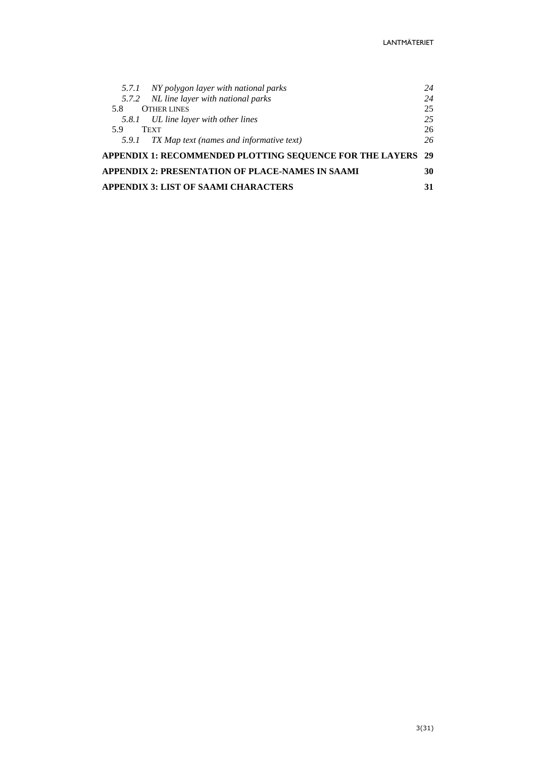| 5.7.1 NY polygon layer with national parks                  | 24 |
|-------------------------------------------------------------|----|
| 5.7.2 NL line layer with national parks                     | 24 |
| <b>OTHER LINES</b><br>5.8                                   | 25 |
| 5.8.1 UL line layer with other lines                        | 25 |
| <b>TEXT</b><br>59                                           | 26 |
| TX Map text (names and informative text)<br>5.9.1           | 26 |
| APPENDIX 1: RECOMMENDED PLOTTING SEQUENCE FOR THE LAYERS 29 |    |
| APPENDIX 2: PRESENTATION OF PLACE-NAMES IN SAAMI            | 30 |
| <b>APPENDIX 3: LIST OF SAAMI CHARACTERS</b>                 | 31 |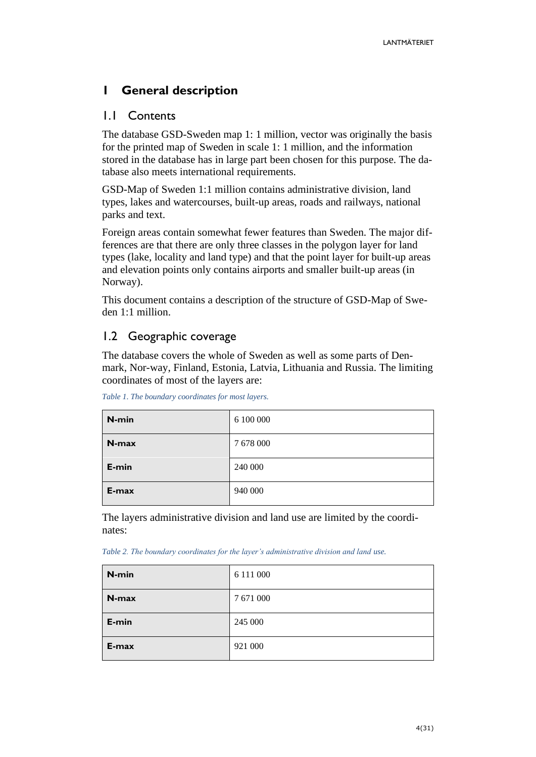# <span id="page-3-0"></span>**1 General description**

# <span id="page-3-1"></span>1.1 Contents

The database GSD-Sweden map 1: 1 million, vector was originally the basis for the printed map of Sweden in scale 1: 1 million, and the information stored in the database has in large part been chosen for this purpose. The database also meets international requirements.

GSD-Map of Sweden 1:1 million contains administrative division, land types, lakes and watercourses, built-up areas, roads and railways, national parks and text.

Foreign areas contain somewhat fewer features than Sweden. The major differences are that there are only three classes in the polygon layer for land types (lake, locality and land type) and that the point layer for built-up areas and elevation points only contains airports and smaller built-up areas (in Norway).

This document contains a description of the structure of GSD-Map of Sweden 1:1 million.

# <span id="page-3-2"></span>1.2 Geographic coverage

The database covers the whole of Sweden as well as some parts of Denmark, Nor-way, Finland, Estonia, Latvia, Lithuania and Russia. The limiting coordinates of most of the layers are:

| N-min | 6 100 000 |
|-------|-----------|
| N-max | 7 678 000 |
| E-min | 240 000   |
| E-max | 940 000   |

*Table 1. The boundary coordinates for most layers.*

The layers administrative division and land use are limited by the coordinates:

*Table 2. The boundary coordinates for the layer's administrative division and land use.*

| N-min | 6 111 000 |
|-------|-----------|
| N-max | 7 671 000 |
| E-min | 245 000   |
| E-max | 921 000   |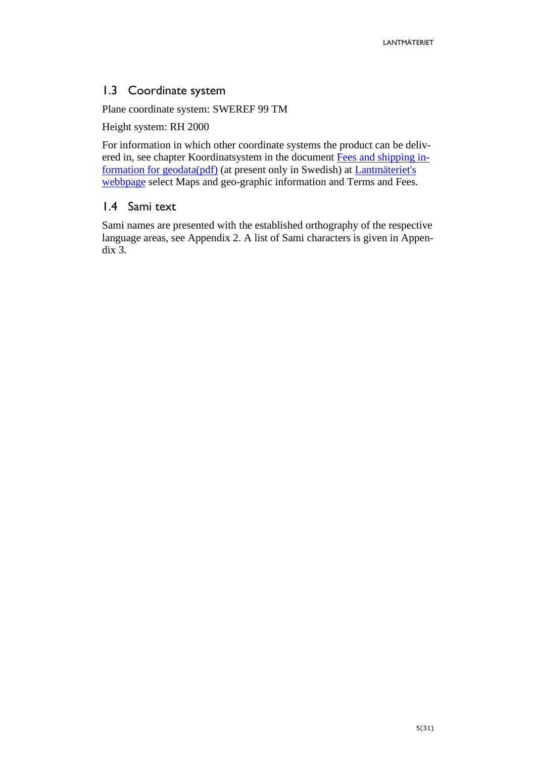# <span id="page-4-0"></span>1.3 Coordinate system

Plane coordinate system: SWEREF 99 TM

Height system: RH 2000

For information in which other coordinate systems the product can be delivered in, see chapter Koordinatsystem in the document [Fees and shipping in](https://www.lantmateriet.se/globalassets/kartor-och-geografisk-information/geodataprodukter/avgifter_och_leveransinformation_for_geodata.pdf)[formation for geodata\(pdf\)](https://www.lantmateriet.se/globalassets/kartor-och-geografisk-information/geodataprodukter/avgifter_och_leveransinformation_for_geodata.pdf) (at present only in Swedish) at [Lantmäteriet's](http://www.lantmateriet.se/)  [webbpage](http://www.lantmateriet.se/) select Maps and geo-graphic information and Terms and Fees.

# <span id="page-4-1"></span>1.4 Sami text

Sami names are presented with the established orthography of the respective language areas, see Appendix 2. A list of Sami characters is given in Appendix 3.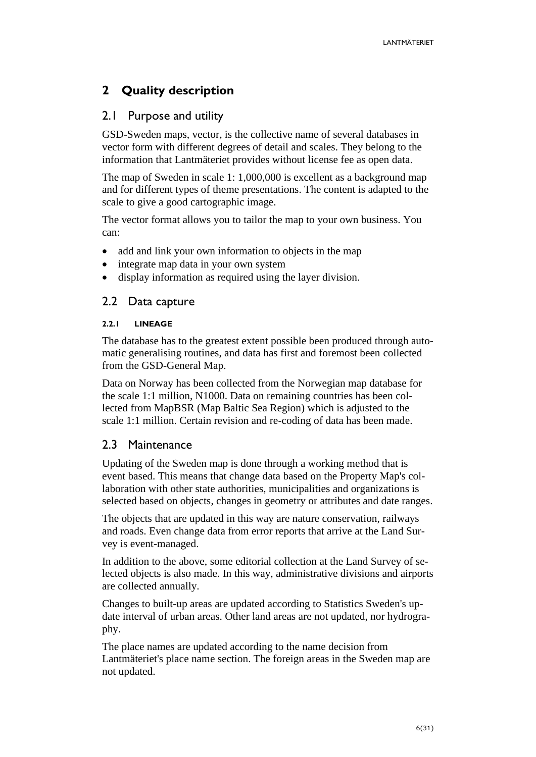# <span id="page-5-0"></span>**2 Quality description**

# <span id="page-5-1"></span>2.1 Purpose and utility

GSD-Sweden maps, vector, is the collective name of several databases in vector form with different degrees of detail and scales. They belong to the information that Lantmäteriet provides without license fee as open data.

The map of Sweden in scale 1: 1,000,000 is excellent as a background map and for different types of theme presentations. The content is adapted to the scale to give a good cartographic image.

The vector format allows you to tailor the map to your own business. You can:

- add and link your own information to objects in the map
- integrate map data in your own system
- display information as required using the layer division.

# <span id="page-5-2"></span>2.2 Data capture

# <span id="page-5-3"></span>**2.2.1 LINEAGE**

The database has to the greatest extent possible been produced through automatic generalising routines, and data has first and foremost been collected from the GSD-General Map.

Data on Norway has been collected from the Norwegian map database for the scale 1:1 million, N1000. Data on remaining countries has been collected from MapBSR (Map Baltic Sea Region) which is adjusted to the scale 1:1 million. Certain revision and re-coding of data has been made.

# <span id="page-5-4"></span>2.3 Maintenance

Updating of the Sweden map is done through a working method that is event based. This means that change data based on the Property Map's collaboration with other state authorities, municipalities and organizations is selected based on objects, changes in geometry or attributes and date ranges.

The objects that are updated in this way are nature conservation, railways and roads. Even change data from error reports that arrive at the Land Survey is event-managed.

In addition to the above, some editorial collection at the Land Survey of selected objects is also made. In this way, administrative divisions and airports are collected annually.

Changes to built-up areas are updated according to Statistics Sweden's update interval of urban areas. Other land areas are not updated, nor hydrography.

The place names are updated according to the name decision from Lantmäteriet's place name section. The foreign areas in the Sweden map are not updated.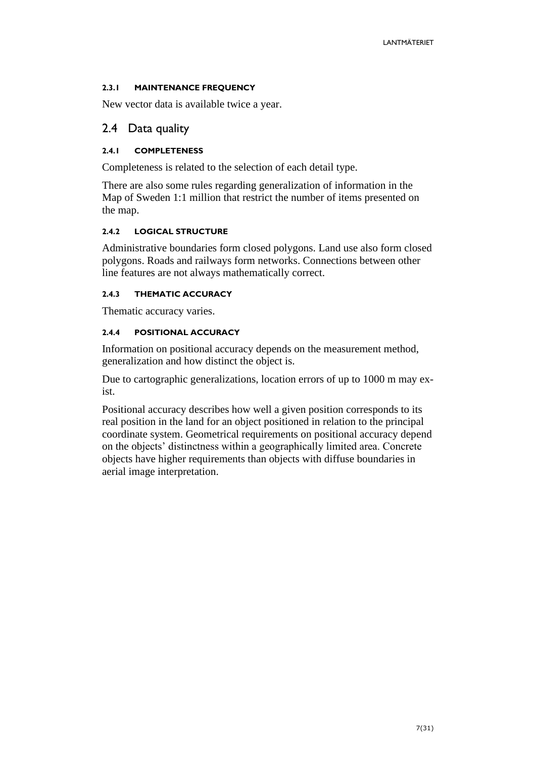# <span id="page-6-0"></span>**2.3.1 MAINTENANCE FREQUENCY**

New vector data is available twice a year.

# <span id="page-6-1"></span>2.4 Data quality

# <span id="page-6-2"></span>**2.4.1 COMPLETENESS**

Completeness is related to the selection of each detail type.

There are also some rules regarding generalization of information in the Map of Sweden 1:1 million that restrict the number of items presented on the map.

# <span id="page-6-3"></span>**2.4.2 LOGICAL STRUCTURE**

Administrative boundaries form closed polygons. Land use also form closed polygons. Roads and railways form networks. Connections between other line features are not always mathematically correct.

# <span id="page-6-4"></span>**2.4.3 THEMATIC ACCURACY**

Thematic accuracy varies.

# <span id="page-6-5"></span>**2.4.4 POSITIONAL ACCURACY**

Information on positional accuracy depends on the measurement method, generalization and how distinct the object is.

Due to cartographic generalizations, location errors of up to 1000 m may exist.

Positional accuracy describes how well a given position corresponds to its real position in the land for an object positioned in relation to the principal coordinate system. Geometrical requirements on positional accuracy depend on the objects' distinctness within a geographically limited area. Concrete objects have higher requirements than objects with diffuse boundaries in aerial image interpretation.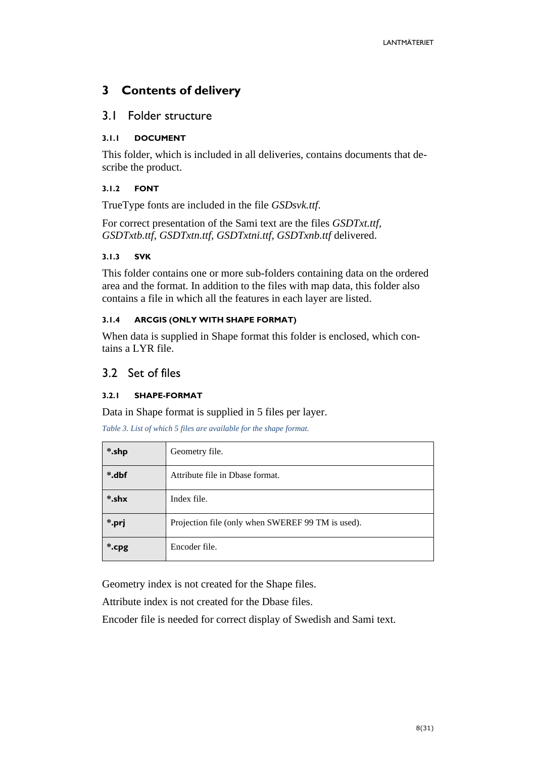# <span id="page-7-0"></span>**3 Contents of delivery**

# <span id="page-7-1"></span>3.1 Folder structure

# <span id="page-7-2"></span>**3.1.1 DOCUMENT**

This folder, which is included in all deliveries, contains documents that describe the product.

# <span id="page-7-3"></span>**3.1.2 FONT**

TrueType fonts are included in the file *GSDsvk.ttf*.

For correct presentation of the Sami text are the files *GSDTxt.ttf, GSDTxtb.ttf, GSDTxtn.ttf, GSDTxtni.ttf, GSDTxnb.ttf* delivered.

#### <span id="page-7-4"></span>**3.1.3 SVK**

This folder contains one or more sub-folders containing data on the ordered area and the format. In addition to the files with map data, this folder also contains a file in which all the features in each layer are listed.

# <span id="page-7-5"></span>**3.1.4 ARCGIS (ONLY WITH SHAPE FORMAT)**

When data is supplied in Shape format this folder is enclosed, which contains a LYR file.

# <span id="page-7-6"></span>3.2 Set of files

# <span id="page-7-7"></span>**3.2.1 SHAPE-FORMAT**

Data in Shape format is supplied in 5 files per layer.

*Table 3. List of which 5 files are available for the shape format.*

| *.shp | Geometry file.                                    |  |  |  |  |  |
|-------|---------------------------------------------------|--|--|--|--|--|
| *.dbf | Attribute file in Dbase format.                   |  |  |  |  |  |
| *.shx | Index file.                                       |  |  |  |  |  |
| *.prj | Projection file (only when SWEREF 99 TM is used). |  |  |  |  |  |
| *.cpg | Encoder file.                                     |  |  |  |  |  |

Geometry index is not created for the Shape files.

Attribute index is not created for the Dbase files.

Encoder file is needed for correct display of Swedish and Sami text.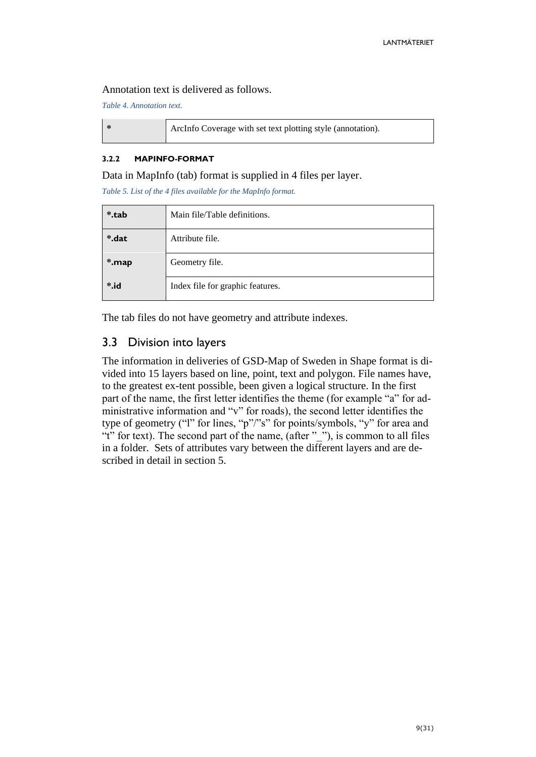#### Annotation text is delivered as follows.

*Table 4. Annotation text.*

|  | ArcInfo Coverage with set text plotting style (annotation). |
|--|-------------------------------------------------------------|
|--|-------------------------------------------------------------|

#### <span id="page-8-0"></span>**3.2.2 MAPINFO-FORMAT**

Data in MapInfo (tab) format is supplied in 4 files per layer.

*Table 5. List of the 4 files available for the MapInfo format.*

| *.tab           | Main file/Table definitions.     |
|-----------------|----------------------------------|
| *.dat           | Attribute file.                  |
| *.map           | Geometry file.                   |
| $\ddot{\ }$ .id | Index file for graphic features. |

The tab files do not have geometry and attribute indexes.

# <span id="page-8-1"></span>3.3 Division into layers

The information in deliveries of GSD-Map of Sweden in Shape format is divided into 15 layers based on line, point, text and polygon. File names have, to the greatest ex-tent possible, been given a logical structure. In the first part of the name, the first letter identifies the theme (for example "a" for administrative information and "v" for roads), the second letter identifies the type of geometry ("l" for lines, "p"/"s" for points/symbols, "y" for area and "t" for text). The second part of the name, (after " "), is common to all files in a folder. Sets of attributes vary between the different layers and are described in detail in section 5.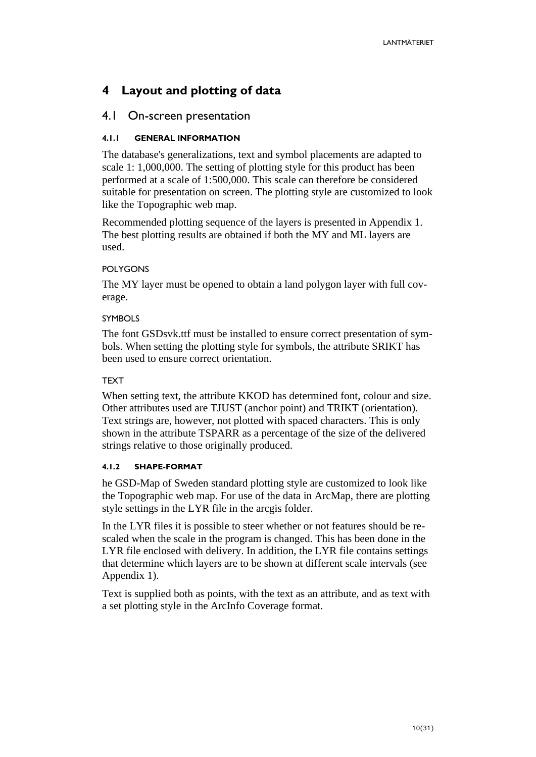# <span id="page-9-0"></span>**4 Layout and plotting of data**

# <span id="page-9-1"></span>4.1 On-screen presentation

# <span id="page-9-2"></span>**4.1.1 GENERAL INFORMATION**

The database's generalizations, text and symbol placements are adapted to scale 1: 1,000,000. The setting of plotting style for this product has been performed at a scale of 1:500,000. This scale can therefore be considered suitable for presentation on screen. The plotting style are customized to look like the Topographic web map.

Recommended plotting sequence of the layers is presented in Appendix 1. The best plotting results are obtained if both the MY and ML layers are used.

# POLYGONS

The MY layer must be opened to obtain a land polygon layer with full coverage.

# **SYMBOLS**

The font GSDsvk.ttf must be installed to ensure correct presentation of symbols. When setting the plotting style for symbols, the attribute SRIKT has been used to ensure correct orientation.

# **TEXT**

When setting text, the attribute KKOD has determined font, colour and size. Other attributes used are TJUST (anchor point) and TRIKT (orientation). Text strings are, however, not plotted with spaced characters. This is only shown in the attribute TSPARR as a percentage of the size of the delivered strings relative to those originally produced.

# <span id="page-9-3"></span>**4.1.2 SHAPE-FORMAT**

he GSD-Map of Sweden standard plotting style are customized to look like the Topographic web map. For use of the data in ArcMap, there are plotting style settings in the LYR file in the arcgis folder.

In the LYR files it is possible to steer whether or not features should be rescaled when the scale in the program is changed. This has been done in the LYR file enclosed with delivery. In addition, the LYR file contains settings that determine which layers are to be shown at different scale intervals (see Appendix 1).

Text is supplied both as points, with the text as an attribute, and as text with a set plotting style in the ArcInfo Coverage format.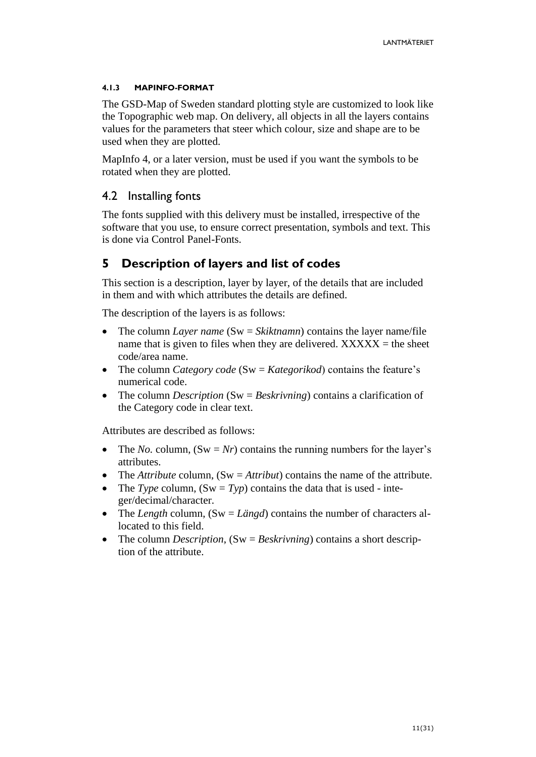# <span id="page-10-0"></span>**4.1.3 MAPINFO-FORMAT**

The GSD-Map of Sweden standard plotting style are customized to look like the Topographic web map. On delivery, all objects in all the layers contains values for the parameters that steer which colour, size and shape are to be used when they are plotted.

MapInfo 4, or a later version, must be used if you want the symbols to be rotated when they are plotted.

# <span id="page-10-1"></span>4.2 Installing fonts

The fonts supplied with this delivery must be installed, irrespective of the software that you use, to ensure correct presentation, symbols and text. This is done via Control Panel-Fonts.

# <span id="page-10-2"></span>**5 Description of layers and list of codes**

This section is a description, layer by layer, of the details that are included in them and with which attributes the details are defined.

The description of the layers is as follows:

- The column *Layer name* (Sw = *Skiktnamn*) contains the layer name/file name that is given to files when they are delivered.  $XXXXX =$  the sheet code/area name.
- The column *Category code* (Sw = *Kategorikod*) contains the feature's numerical code.
- The column *Description* (Sw = *Beskrivning*) contains a clarification of the Category code in clear text.

Attributes are described as follows:

- The *No.* column,  $(Sw = Nr)$  contains the running numbers for the layer's attributes.
- The *Attribute* column, (Sw = *Attribut*) contains the name of the attribute.
- The *Type* column,  $(Sw = Typ)$  contains the data that is used integer/decimal/character.
- The *Length* column, (Sw = *Längd*) contains the number of characters allocated to this field.
- The column *Description*, (Sw = *Beskrivning*) contains a short description of the attribute.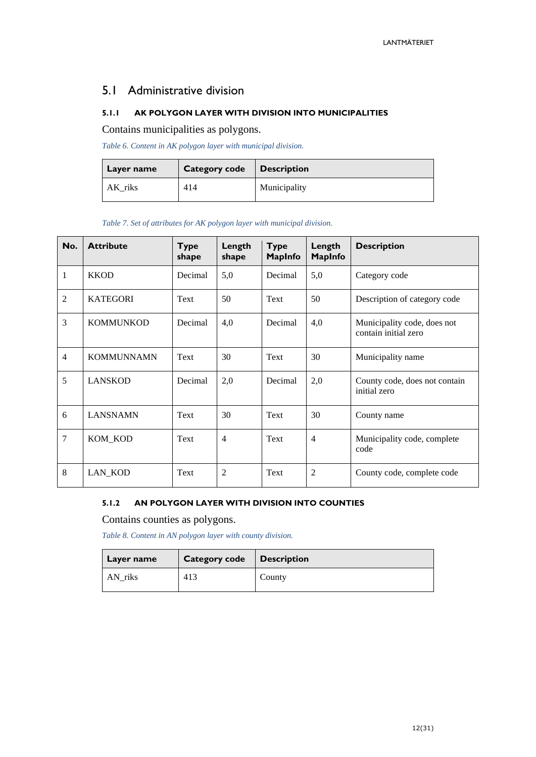# <span id="page-11-0"></span>5.1 Administrative division

### <span id="page-11-1"></span>**5.1.1 AK POLYGON LAYER WITH DIVISION INTO MUNICIPALITIES**

Contains municipalities as polygons.

*Table 6. Content in AK polygon layer with municipal division.*

| Layer name | Category code   Description |              |  |  |
|------------|-----------------------------|--------------|--|--|
| AK riks    | 414                         | Municipality |  |  |

*Table 7. Set of attributes for AK polygon layer with municipal division.*

| No.            | <b>Attribute</b>  | <b>Type</b><br>shape | Length<br>shape | <b>Type</b><br><b>MapInfo</b> | Length<br><b>MapInfo</b> | <b>Description</b>                                  |
|----------------|-------------------|----------------------|-----------------|-------------------------------|--------------------------|-----------------------------------------------------|
| $\mathbf{1}$   | <b>KKOD</b>       | Decimal              | 5,0             | Decimal                       | 5,0                      | Category code                                       |
| $\overline{2}$ | <b>KATEGORI</b>   | Text                 | 50              | Text                          | 50                       | Description of category code                        |
| 3              | <b>KOMMUNKOD</b>  | Decimal              | 4,0             | Decimal                       | 4,0                      | Municipality code, does not<br>contain initial zero |
| $\overline{4}$ | <b>KOMMUNNAMN</b> | Text                 | 30              | Text                          | 30                       | Municipality name                                   |
| 5              | <b>LANSKOD</b>    | Decimal              | 2,0             | Decimal                       | 2,0                      | County code, does not contain<br>initial zero       |
| 6              | <b>LANSNAMN</b>   | Text                 | 30              | Text                          | 30                       | County name                                         |
| 7              | KOM_KOD           | Text                 | $\overline{4}$  | Text                          | $\overline{4}$           | Municipality code, complete<br>code                 |
| 8              | LAN_KOD           | Text                 | $\overline{2}$  | Text                          | $\overline{2}$           | County code, complete code                          |

#### <span id="page-11-2"></span>**5.1.2 AN POLYGON LAYER WITH DIVISION INTO COUNTIES**

Contains counties as polygons.

*Table 8. Content in AN polygon layer with county division.*

| Layer name | <b>Category code</b> | $\vert$ Description |  |  |
|------------|----------------------|---------------------|--|--|
| AN_riks    | 413                  | County              |  |  |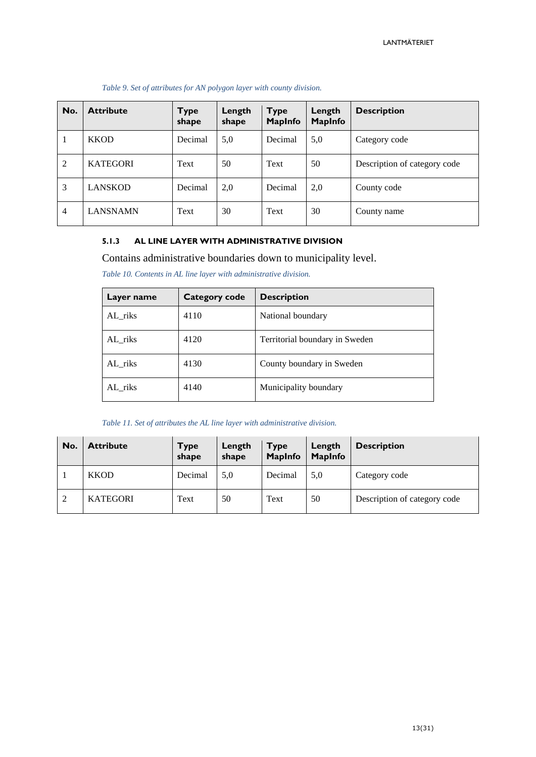| No.            | <b>Attribute</b> | Type<br>shape | Length<br>shape | <b>Type</b><br><b>MapInfo</b> | Length<br><b>MapInfo</b> | <b>Description</b>           |
|----------------|------------------|---------------|-----------------|-------------------------------|--------------------------|------------------------------|
|                | <b>KKOD</b>      | Decimal       | 5,0             | Decimal                       | 5,0                      | Category code                |
| 2              | <b>KATEGORI</b>  | Text          | 50              | Text                          | 50                       | Description of category code |
| 3              | <b>LANSKOD</b>   | Decimal       | 2,0             | Decimal                       | 2,0                      | County code                  |
| $\overline{4}$ | <b>LANSNAMN</b>  | Text          | 30              | Text                          | 30                       | County name                  |

*Table 9. Set of attributes for AN polygon layer with county division.*

#### <span id="page-12-0"></span>**5.1.3 AL LINE LAYER WITH ADMINISTRATIVE DIVISION**

Contains administrative boundaries down to municipality level.

*Table 10. Contents in AL line layer with administrative division.*

| Layer name | Category code | <b>Description</b>             |
|------------|---------------|--------------------------------|
| AL_riks    | 4110          | National boundary              |
| AL riks    | 4120          | Territorial boundary in Sweden |
| AL riks    | 4130          | County boundary in Sweden      |
| AL riks    | 4140          | Municipality boundary          |

*Table 11. Set of attributes the AL line layer with administrative division.*

| No. | <b>Attribute</b> | <b>Type</b><br>shape | Length<br>shape | <b>Type</b><br><b>MapInfo</b> | Length<br><b>MapInfo</b> | <b>Description</b>           |
|-----|------------------|----------------------|-----------------|-------------------------------|--------------------------|------------------------------|
|     | <b>KKOD</b>      | Decimal              | 5,0             | Decimal                       | 5,0                      | Category code                |
|     | <b>KATEGORI</b>  | Text                 | 50              | Text                          | 50                       | Description of category code |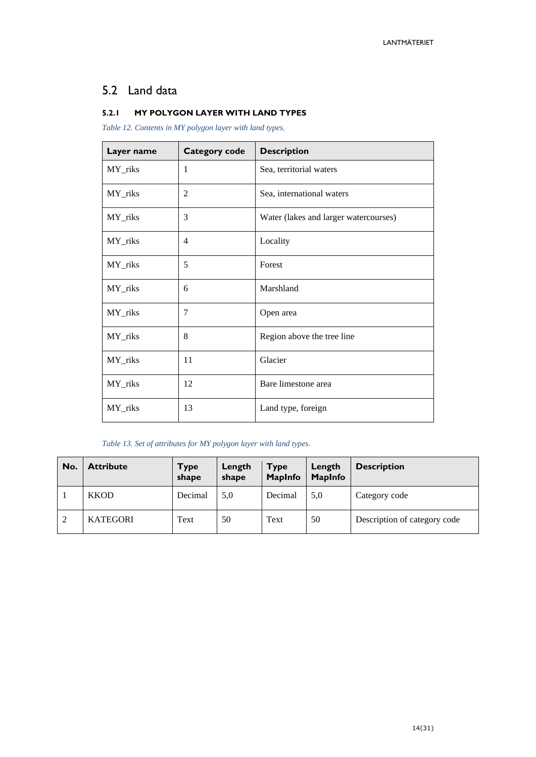# <span id="page-13-0"></span>5.2 Land data

#### <span id="page-13-1"></span>**5.2.1 MY POLYGON LAYER WITH LAND TYPES**

*Table 12. Contents in MY polygon layer with land types.*

| Layer name | <b>Category code</b> | <b>Description</b>                    |
|------------|----------------------|---------------------------------------|
| MY_riks    | 1                    | Sea, territorial waters               |
| MY_riks    | $\overline{2}$       | Sea, international waters             |
| MY_riks    | 3                    | Water (lakes and larger watercourses) |
| MY_riks    | $\overline{4}$       | Locality                              |
| MY_riks    | 5                    | Forest                                |
| MY_riks    | 6                    | Marshland                             |
| MY_riks    | 7                    | Open area                             |
| MY_riks    | 8                    | Region above the tree line            |
| MY_riks    | 11                   | Glacier                               |
| MY_riks    | 12                   | Bare limestone area                   |
| MY_riks    | 13                   | Land type, foreign                    |

#### *Table 13. Set of attributes for MY polygon layer with land types.*

| No. | <b>Attribute</b> | <b>Type</b><br>shape | Length<br>shape | <b>Type</b><br><b>MapInfo</b> | Length<br><b>MapInfo</b> | <b>Description</b>           |
|-----|------------------|----------------------|-----------------|-------------------------------|--------------------------|------------------------------|
|     | <b>KKOD</b>      | Decimal              | 5,0             | Decimal                       | 5,0                      | Category code                |
| 2   | <b>KATEGORI</b>  | Text                 | 50              | Text                          | 50                       | Description of category code |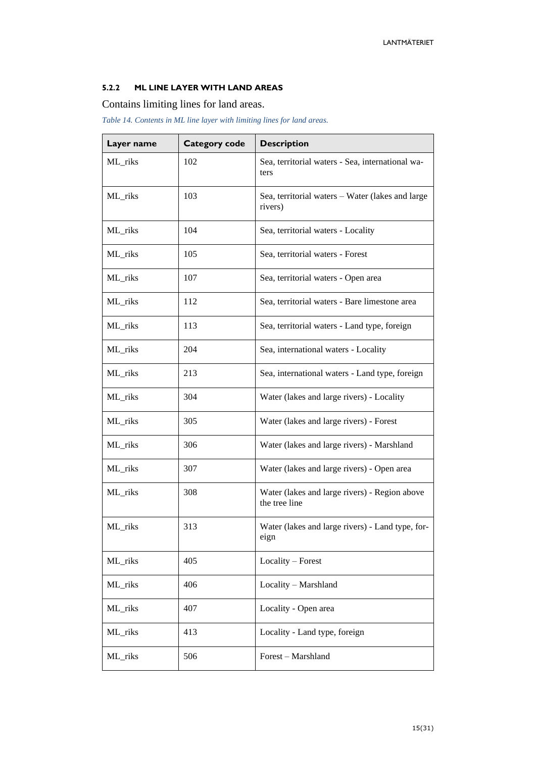#### <span id="page-14-0"></span>**5.2.2 ML LINE LAYER WITH LAND AREAS**

Contains limiting lines for land areas.

*Table 14. Contents in ML line layer with limiting lines for land areas.*

| Layer name | <b>Category code</b> | <b>Description</b>                                             |
|------------|----------------------|----------------------------------------------------------------|
| ML_riks    | 102                  | Sea, territorial waters - Sea, international wa-<br>ters       |
| ML_riks    | 103                  | Sea, territorial waters - Water (lakes and large<br>rivers)    |
| ML_riks    | 104                  | Sea, territorial waters - Locality                             |
| ML_riks    | 105                  | Sea, territorial waters - Forest                               |
| ML_riks    | 107                  | Sea, territorial waters - Open area                            |
| ML_riks    | 112                  | Sea, territorial waters - Bare limestone area                  |
| ML_riks    | 113                  | Sea, territorial waters - Land type, foreign                   |
| ML_riks    | 204                  | Sea, international waters - Locality                           |
| ML_riks    | 213                  | Sea, international waters - Land type, foreign                 |
| ML_riks    | 304                  | Water (lakes and large rivers) - Locality                      |
| ML_riks    | 305                  | Water (lakes and large rivers) - Forest                        |
| ML_riks    | 306                  | Water (lakes and large rivers) - Marshland                     |
| ML_riks    | 307                  | Water (lakes and large rivers) - Open area                     |
| ML_riks    | 308                  | Water (lakes and large rivers) - Region above<br>the tree line |
| ML_riks    | 313                  | Water (lakes and large rivers) - Land type, for-<br>eign       |
| ML_riks    | 405                  | Locality - Forest                                              |
| ML_riks    | 406                  | Locality - Marshland                                           |
| ML_riks    | 407                  | Locality - Open area                                           |
| ML_riks    | 413                  | Locality - Land type, foreign                                  |
| ML_riks    | 506                  | Forest - Marshland                                             |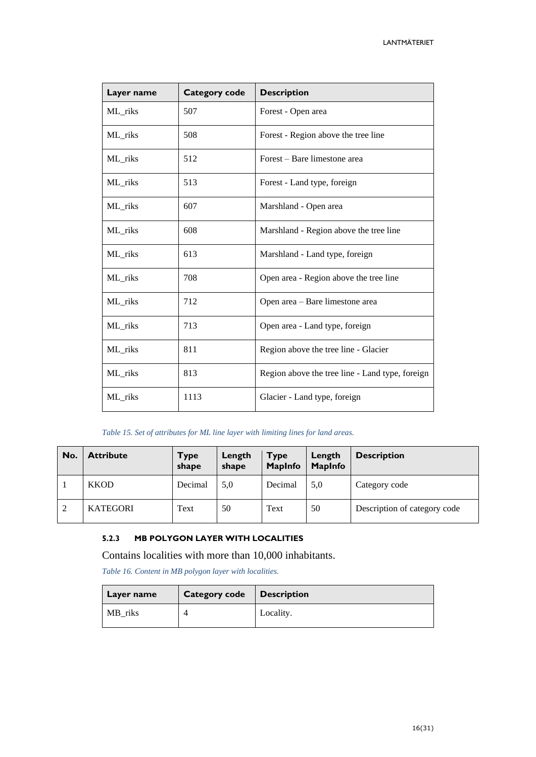| Layer name | <b>Category code</b> | <b>Description</b>                              |
|------------|----------------------|-------------------------------------------------|
| ML_riks    | 507                  | Forest - Open area                              |
| ML_riks    | 508                  | Forest - Region above the tree line             |
| ML_riks    | 512                  | Forest – Bare limestone area                    |
| ML_riks    | 513                  | Forest - Land type, foreign                     |
| ML_riks    | 607                  | Marshland - Open area                           |
| ML_riks    | 608                  | Marshland - Region above the tree line          |
| ML_riks    | 613                  | Marshland - Land type, foreign                  |
| ML_riks    | 708                  | Open area - Region above the tree line          |
| ML_riks    | 712                  | Open area - Bare limestone area                 |
| ML_riks    | 713                  | Open area - Land type, foreign                  |
| ML_riks    | 811                  | Region above the tree line - Glacier            |
| ML_riks    | 813                  | Region above the tree line - Land type, foreign |
| ML_riks    | 1113                 | Glacier - Land type, foreign                    |

#### *Table 15. Set of attributes for ML line layer with limiting lines for land areas.*

| No. | <b>Attribute</b> | <b>Type</b><br>shape | Length<br>shape | <b>Type</b><br><b>MapInfo</b> | Length<br><b>MapInfo</b> | <b>Description</b>           |
|-----|------------------|----------------------|-----------------|-------------------------------|--------------------------|------------------------------|
|     | <b>KKOD</b>      | Decimal              | 5,0             | Decimal                       | 5,0                      | Category code                |
| 2   | <b>KATEGORI</b>  | Text                 | 50              | Text                          | 50                       | Description of category code |

# <span id="page-15-0"></span>**5.2.3 MB POLYGON LAYER WITH LOCALITIES**

Contains localities with more than 10,000 inhabitants.

*Table 16. Content in MB polygon layer with localities.*

| Layer name | Category code   Description |           |
|------------|-----------------------------|-----------|
| MB riks    |                             | Locality. |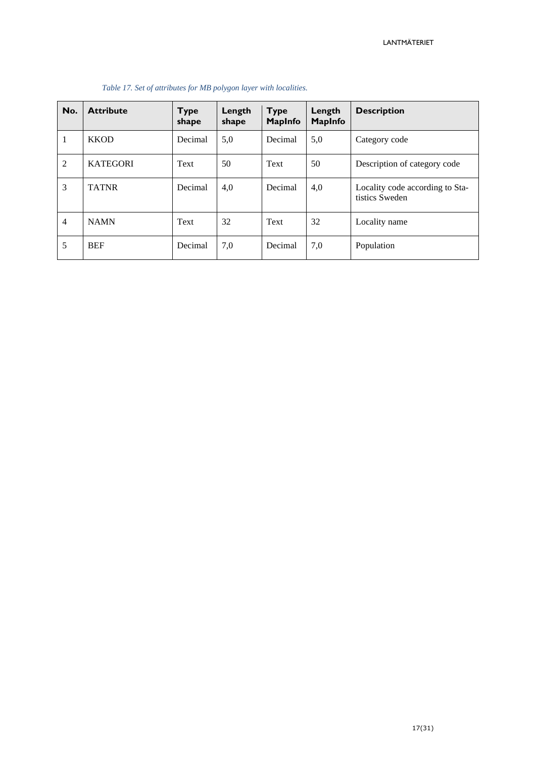| No.            | <b>Attribute</b> | <b>Type</b><br>shape | Length<br>shape | <b>Type</b><br><b>MapInfo</b> | Length<br>MapInfo | <b>Description</b>                                |
|----------------|------------------|----------------------|-----------------|-------------------------------|-------------------|---------------------------------------------------|
| $\mathbf{1}$   | <b>KKOD</b>      | Decimal              | 5,0             | Decimal                       | 5,0               | Category code                                     |
| $\overline{2}$ | <b>KATEGORI</b>  | Text                 | 50              | Text                          | 50                | Description of category code                      |
| 3              | <b>TATNR</b>     | Decimal              | 4,0             | Decimal                       | 4,0               | Locality code according to Sta-<br>tistics Sweden |
| $\overline{4}$ | <b>NAMN</b>      | Text                 | 32              | Text                          | 32                | Locality name                                     |
| 5              | <b>BEF</b>       | Decimal              | 7,0             | Decimal                       | 7,0               | Population                                        |

#### *Table 17. Set of attributes for MB polygon layer with localities.*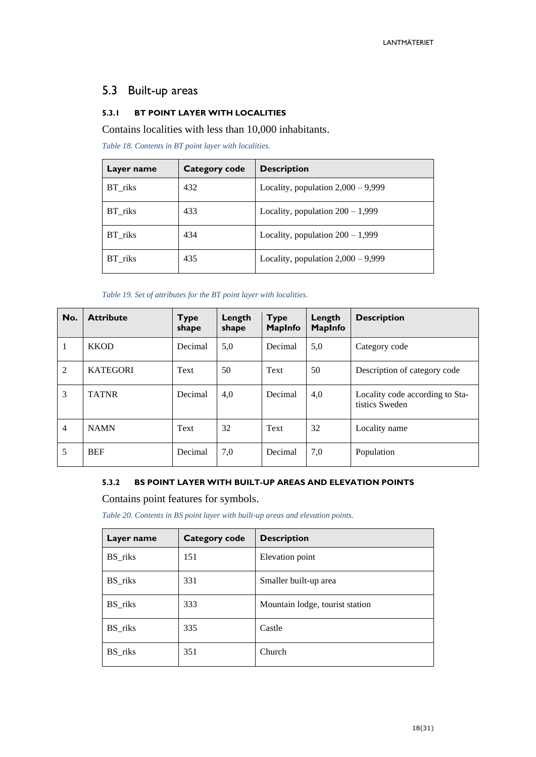# <span id="page-17-0"></span>5.3 Built-up areas

#### <span id="page-17-1"></span>**5.3.1 BT POINT LAYER WITH LOCALITIES**

Contains localities with less than 10,000 inhabitants.

*Table 18. Contents in BT point layer with localities.*

| Layer name | Category code | <b>Description</b>                   |
|------------|---------------|--------------------------------------|
| BT_riks    | 432           | Locality, population $2,000 - 9,999$ |
| BT riks    | 433           | Locality, population $200 - 1,999$   |
| BT riks    | 434           | Locality, population $200 - 1,999$   |
| BT riks    | 435           | Locality, population $2,000 - 9,999$ |

*Table 19. Set of attributes for the BT point layer with localities.*

| No.            | <b>Attribute</b> | <b>Type</b><br>shape | Length<br>shape | <b>Type</b><br><b>MapInfo</b> | Length<br><b>MapInfo</b> | <b>Description</b>                                |
|----------------|------------------|----------------------|-----------------|-------------------------------|--------------------------|---------------------------------------------------|
| 1              | <b>KKOD</b>      | Decimal              | 5,0             | Decimal                       | 5,0                      | Category code                                     |
| 2              | <b>KATEGORI</b>  | Text                 | 50              | Text                          | 50                       | Description of category code                      |
| 3              | <b>TATNR</b>     | Decimal              | 4,0             | Decimal                       | 4,0                      | Locality code according to Sta-<br>tistics Sweden |
| $\overline{4}$ | <b>NAMN</b>      | Text                 | 32              | Text                          | 32                       | Locality name                                     |
| 5              | <b>BEF</b>       | Decimal              | 7,0             | Decimal                       | 7,0                      | Population                                        |

#### <span id="page-17-2"></span>**5.3.2 BS POINT LAYER WITH BUILT-UP AREAS AND ELEVATION POINTS**

Contains point features for symbols.

*Table 20. Contents in BS point layer with built-up areas and elevation points.*

| Layer name | <b>Category code</b> | <b>Description</b>              |
|------------|----------------------|---------------------------------|
| BS_riks    | 151                  | Elevation point                 |
| BS_riks    | 331                  | Smaller built-up area           |
| BS_riks    | 333                  | Mountain lodge, tourist station |
| BS_riks    | 335                  | Castle                          |
| BS_riks    | 351                  | Church                          |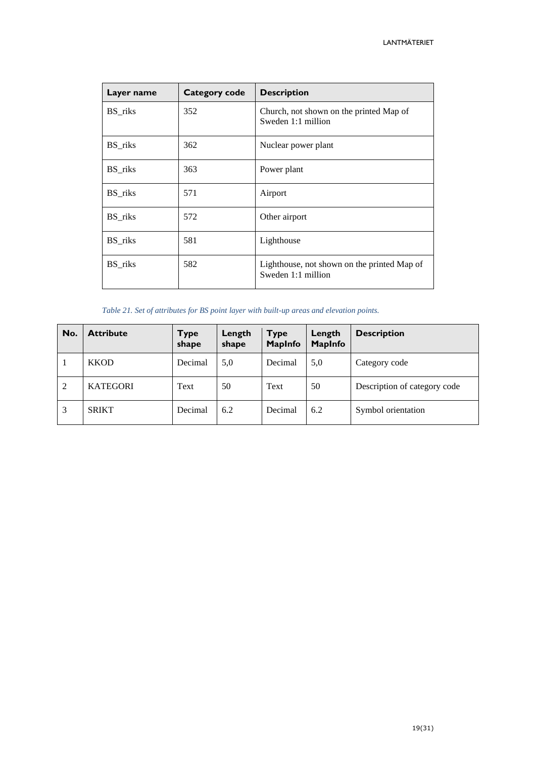| Layer name | <b>Category code</b> | <b>Description</b>                                                |
|------------|----------------------|-------------------------------------------------------------------|
| BS_riks    | 352                  | Church, not shown on the printed Map of<br>Sweden 1:1 million     |
| BS_riks    | 362                  | Nuclear power plant                                               |
| BS_riks    | 363                  | Power plant                                                       |
| BS_riks    | 571                  | Airport                                                           |
| BS_riks    | 572                  | Other airport                                                     |
| BS riks    | 581                  | Lighthouse                                                        |
| BS_riks    | 582                  | Lighthouse, not shown on the printed Map of<br>Sweden 1:1 million |

*Table 21. Set of attributes for BS point layer with built-up areas and elevation points.*

| No. | <b>Attribute</b> | <b>Type</b><br>shape | Length<br>shape | <b>Type</b><br><b>MapInfo</b> | Length<br><b>MapInfo</b> | <b>Description</b>           |
|-----|------------------|----------------------|-----------------|-------------------------------|--------------------------|------------------------------|
|     | <b>KKOD</b>      | Decimal              | 5,0             | Decimal                       | 5,0                      | Category code                |
| 2   | <b>KATEGORI</b>  | Text                 | 50              | Text                          | 50                       | Description of category code |
| 3   | <b>SRIKT</b>     | Decimal              | 6.2             | Decimal                       | 6.2                      | Symbol orientation           |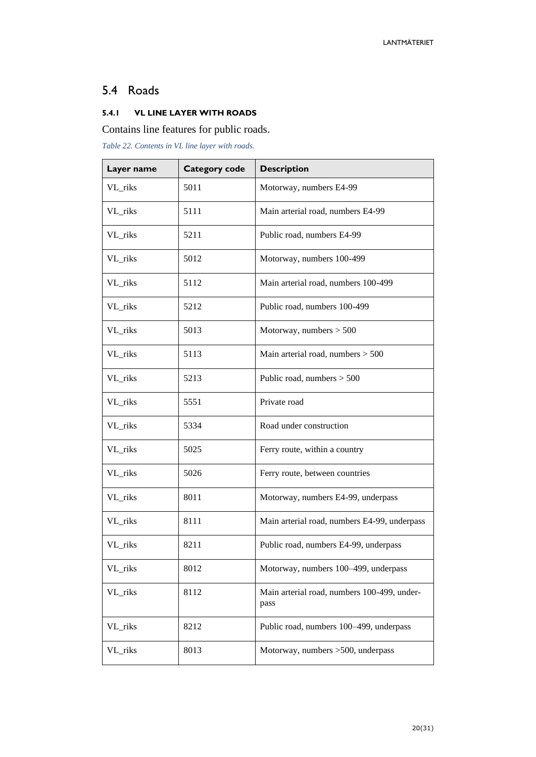# <span id="page-19-0"></span>5.4 Roads

# <span id="page-19-1"></span>**5.4.1 VL LINE LAYER WITH ROADS**

# Contains line features for public roads.

*Table 22. Contents in VL line layer with roads.*

| Layer name | <b>Category code</b> | <b>Description</b>                                  |  |  |
|------------|----------------------|-----------------------------------------------------|--|--|
| VL_riks    | 5011                 | Motorway, numbers E4-99                             |  |  |
| VL_riks    | 5111                 | Main arterial road, numbers E4-99                   |  |  |
| VL_riks    | 5211                 | Public road, numbers E4-99                          |  |  |
| VL_riks    | 5012                 | Motorway, numbers 100-499                           |  |  |
| VL_riks    | 5112                 | Main arterial road, numbers 100-499                 |  |  |
| VL_riks    | 5212                 | Public road, numbers 100-499                        |  |  |
| VL_riks    | 5013                 | Motorway, numbers $> 500$                           |  |  |
| VL_riks    | 5113                 | Main arterial road, numbers $> 500$                 |  |  |
| VL_riks    | 5213                 | Public road, numbers $> 500$                        |  |  |
| VL_riks    | 5551                 | Private road                                        |  |  |
| VL_riks    | 5334                 | Road under construction                             |  |  |
| VL_riks    | 5025                 | Ferry route, within a country                       |  |  |
| VL_riks    | 5026                 | Ferry route, between countries                      |  |  |
| VL_riks    | 8011                 | Motorway, numbers E4-99, underpass                  |  |  |
| VL_riks    | 8111                 | Main arterial road, numbers E4-99, underpass        |  |  |
| VL_riks    | 8211                 | Public road, numbers E4-99, underpass               |  |  |
| VL_riks    | 8012                 | Motorway, numbers 100-499, underpass                |  |  |
| VL_riks    | 8112                 | Main arterial road, numbers 100-499, under-<br>pass |  |  |
| VL_riks    | 8212                 | Public road, numbers 100-499, underpass             |  |  |
| VL_riks    | 8013                 | Motorway, numbers >500, underpass                   |  |  |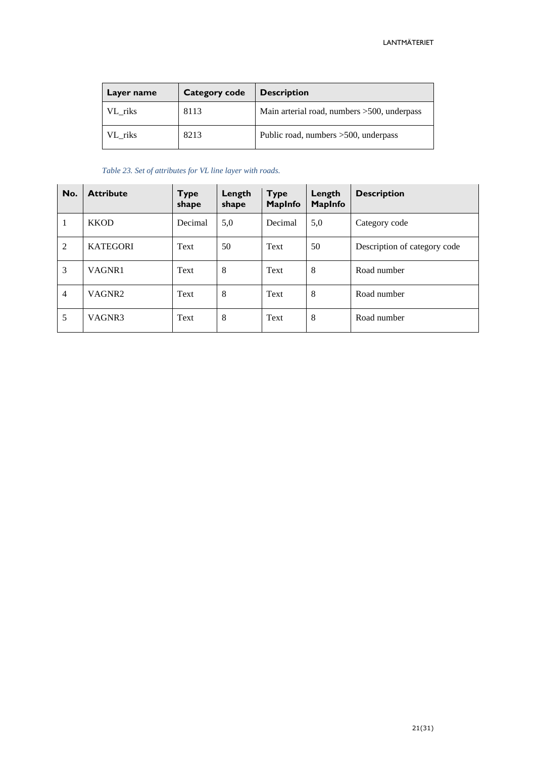| <b>Category code</b><br>Layer name |      | <b>Description</b>                           |  |  |
|------------------------------------|------|----------------------------------------------|--|--|
| VL riks                            | 8113 | Main arterial road, numbers > 500, underpass |  |  |
| VL riks                            | 8213 | Public road, numbers > 500, underpass        |  |  |

#### *Table 23. Set of attributes for VL line layer with roads.*

| No.            | <b>Attribute</b>   | <b>Type</b><br>shape | Length<br>shape | <b>Type</b><br><b>MapInfo</b> | Length<br><b>MapInfo</b> | <b>Description</b>           |
|----------------|--------------------|----------------------|-----------------|-------------------------------|--------------------------|------------------------------|
| 1              | <b>KKOD</b>        | Decimal              | 5,0             | Decimal                       | 5,0                      | Category code                |
| $\overline{2}$ | <b>KATEGORI</b>    | Text                 | 50              | Text                          | 50                       | Description of category code |
| 3              | VAGNR1             | Text                 | 8               | Text                          | 8                        | Road number                  |
| $\overline{4}$ | VAGNR <sub>2</sub> | Text                 | 8               | Text                          | 8                        | Road number                  |
| 5              | VAGNR3             | Text                 | 8               | Text                          | 8                        | Road number                  |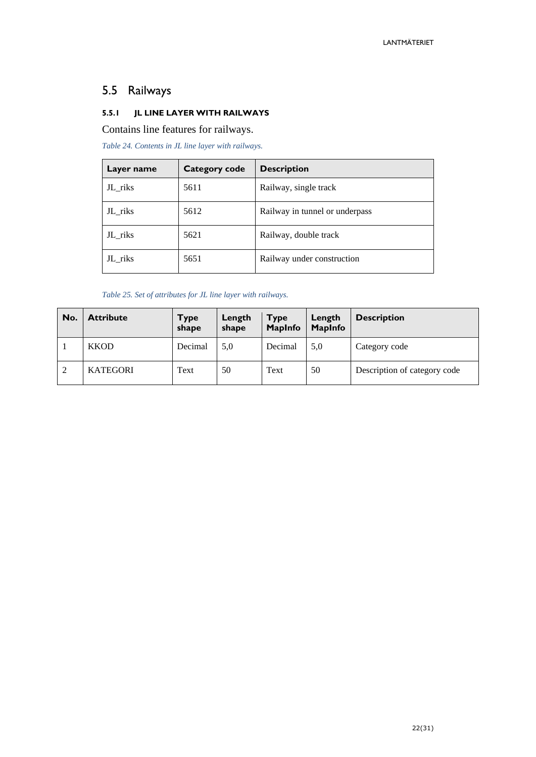# <span id="page-21-0"></span>5.5 Railways

### <span id="page-21-1"></span>**5.5.1 JL LINE LAYER WITH RAILWAYS**

Contains line features for railways.

*Table 24. Contents in JL line layer with railways.*

| Layer name | Category code | <b>Description</b>             |
|------------|---------------|--------------------------------|
| JL_riks    | 5611          | Railway, single track          |
| JL_riks    | 5612          | Railway in tunnel or underpass |
| JL_riks    | 5621          | Railway, double track          |
| JL riks    | 5651          | Railway under construction     |

*Table 25. Set of attributes for JL line layer with railways.*

| No. | <b>Attribute</b> | Type<br>shape | Length<br>shape | <b>Type</b><br><b>MapInfo</b> | Length<br><b>MapInfo</b> | <b>Description</b>           |
|-----|------------------|---------------|-----------------|-------------------------------|--------------------------|------------------------------|
|     | <b>KKOD</b>      | Decimal       | 5,0             | Decimal                       | 5,0                      | Category code                |
| 2   | <b>KATEGORI</b>  | Text          | 50              | Text                          | 50                       | Description of category code |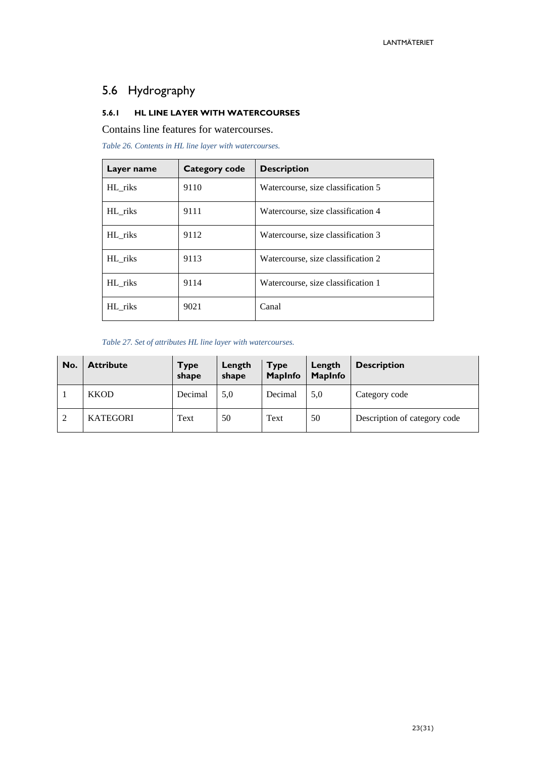# <span id="page-22-0"></span>5.6 Hydrography

### <span id="page-22-1"></span>**5.6.1 HL LINE LAYER WITH WATERCOURSES**

Contains line features for watercourses.

*Table 26. Contents in HL line layer with watercourses.*

| Layer name | Category code | <b>Description</b>                 |
|------------|---------------|------------------------------------|
| HL_riks    | 9110          | Watercourse, size classification 5 |
| HL_riks    | 9111          | Watercourse, size classification 4 |
| HL_riks    | 9112          | Watercourse, size classification 3 |
| HL riks    | 9113          | Watercourse, size classification 2 |
| HL riks    | 9114          | Watercourse, size classification 1 |
| HL riks    | 9021          | Canal                              |

*Table 27. Set of attributes HL line layer with watercourses.*

| No.            | <b>Attribute</b> | <b>Type</b><br>shape | Length<br>shape | <b>Type</b><br><b>MapInfo</b> | Length<br><b>MapInfo</b> | <b>Description</b>           |
|----------------|------------------|----------------------|-----------------|-------------------------------|--------------------------|------------------------------|
|                | <b>KKOD</b>      | Decimal              | 5,0             | Decimal                       | 5,0                      | Category code                |
| $\overline{2}$ | <b>KATEGORI</b>  | Text                 | 50              | Text                          | 50                       | Description of category code |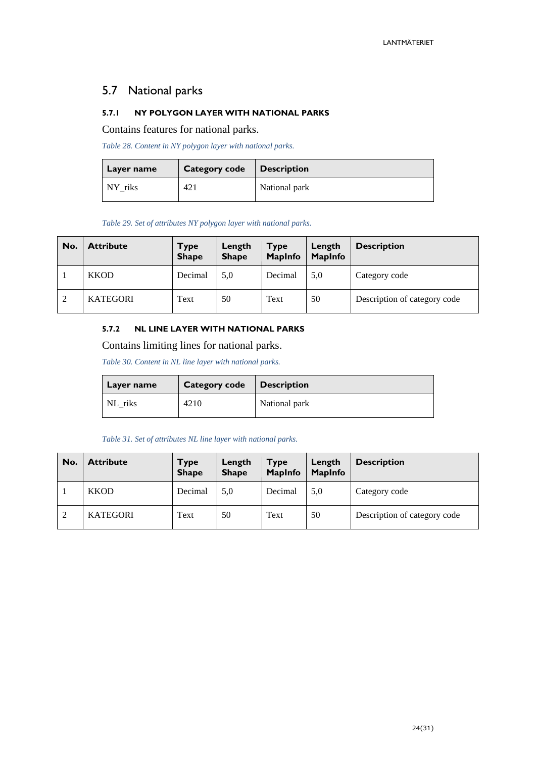# <span id="page-23-0"></span>5.7 National parks

#### <span id="page-23-1"></span>**5.7.1 NY POLYGON LAYER WITH NATIONAL PARKS**

Contains features for national parks.

*Table 28. Content in NY polygon layer with national parks.*

| Layer name | Category code   Description |               |
|------------|-----------------------------|---------------|
| NY riks    | 421                         | National park |

*Table 29. Set of attributes NY polygon layer with national parks.*

| No. | <b>Attribute</b> | <b>Type</b><br><b>Shape</b> | Length<br><b>Shape</b> | <b>Type</b><br><b>MapInfo</b> | Length<br><b>MapInfo</b> | <b>Description</b>           |
|-----|------------------|-----------------------------|------------------------|-------------------------------|--------------------------|------------------------------|
|     | <b>KKOD</b>      | Decimal                     | 5.0                    | Decimal                       | 5,0                      | Category code                |
| 2   | <b>KATEGORI</b>  | Text                        | 50                     | Text                          | 50                       | Description of category code |

#### <span id="page-23-2"></span>**5.7.2 NL LINE LAYER WITH NATIONAL PARKS**

Contains limiting lines for national parks.

*Table 30. Content in NL line layer with national parks.*

| Layer name | <b>Category code</b> | $\blacksquare$ Description |
|------------|----------------------|----------------------------|
| NL riks    | 4210                 | National park              |

*Table 31. Set of attributes NL line layer with national parks.*

| No. | <b>Attribute</b> | <b>Type</b><br><b>Shape</b> | Length<br><b>Shape</b> | <b>Type</b><br><b>MapInfo</b> | Length<br><b>MapInfo</b> | <b>Description</b>           |
|-----|------------------|-----------------------------|------------------------|-------------------------------|--------------------------|------------------------------|
|     | <b>KKOD</b>      | Decimal                     | 5,0                    | Decimal                       | 5.0                      | Category code                |
| 2   | <b>KATEGORI</b>  | Text                        | 50                     | Text                          | 50                       | Description of category code |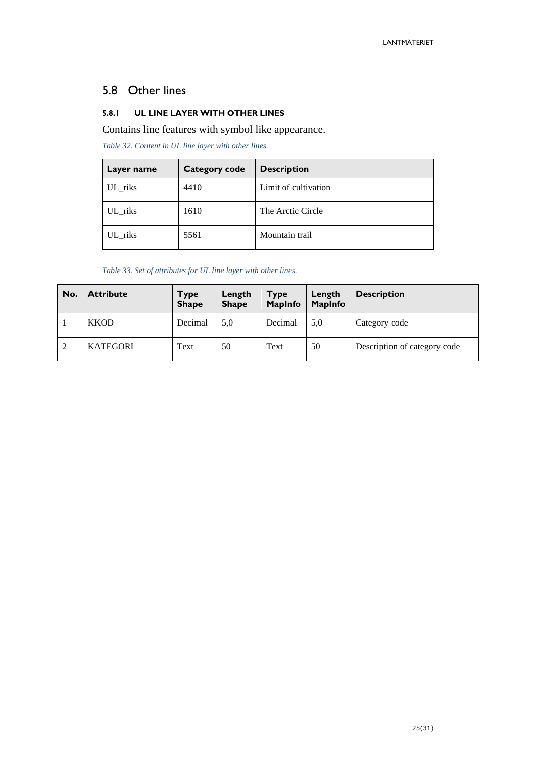# <span id="page-24-0"></span>5.8 Other lines

# <span id="page-24-1"></span>**5.8.1 UL LINE LAYER WITH OTHER LINES**

Contains line features with symbol like appearance.

*Table 32. Content in UL line layer with other lines.*

| Layer name | <b>Category code</b> | <b>Description</b>   |
|------------|----------------------|----------------------|
| UL_riks    | 4410                 | Limit of cultivation |
| UL_riks    | 1610                 | The Arctic Circle    |
| UL riks    | 5561                 | Mountain trail       |

*Table 33. Set of attributes for UL line layer with other lines.*

| No.            | <b>Attribute</b> | <b>Type</b><br><b>Shape</b> | Length<br><b>Shape</b> | <b>Type</b><br><b>MapInfo</b> | Length<br><b>MapInfo</b> | <b>Description</b>           |
|----------------|------------------|-----------------------------|------------------------|-------------------------------|--------------------------|------------------------------|
|                | <b>KKOD</b>      | Decimal                     | 5,0                    | Decimal                       | 5,0                      | Category code                |
| $\overline{2}$ | <b>KATEGORI</b>  | Text                        | 50                     | Text                          | 50                       | Description of category code |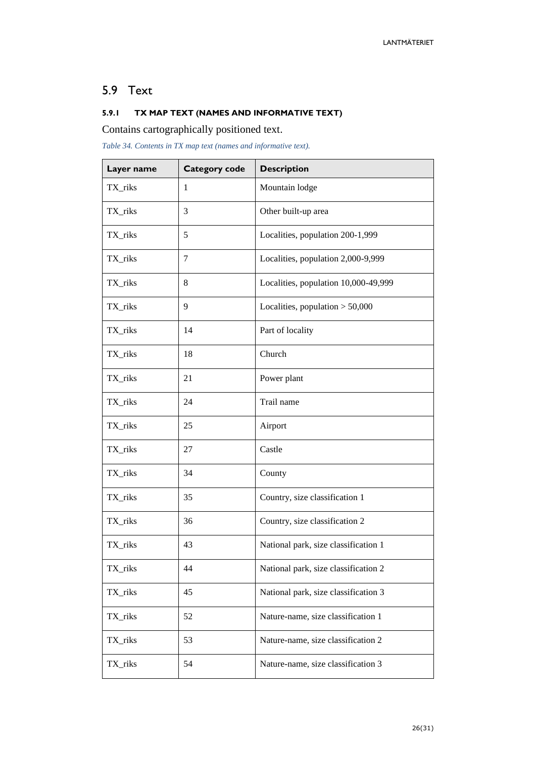# <span id="page-25-0"></span>5.9 Text

# <span id="page-25-1"></span>**5.9.1 TX MAP TEXT (NAMES AND INFORMATIVE TEXT)**

Contains cartographically positioned text.

*Table 34. Contents in TX map text (names and informative text).*

| Layer name | <b>Category code</b> | <b>Description</b>                   |  |
|------------|----------------------|--------------------------------------|--|
| TX_riks    | 1                    | Mountain lodge                       |  |
| TX_riks    | 3                    | Other built-up area                  |  |
| TX_riks    | 5                    | Localities, population 200-1,999     |  |
| TX_riks    | 7                    | Localities, population 2,000-9,999   |  |
| TX_riks    | 8                    | Localities, population 10,000-49,999 |  |
| TX_riks    | 9                    | Localities, population $> 50,000$    |  |
| TX_riks    | 14                   | Part of locality                     |  |
| TX_riks    | 18                   | Church                               |  |
| TX_riks    | 21                   | Power plant                          |  |
| TX_riks    | 24                   | Trail name                           |  |
| TX_riks    | 25                   | Airport                              |  |
| TX_riks    | 27                   | Castle                               |  |
| TX_riks    | 34                   | County                               |  |
| TX_riks    | 35                   | Country, size classification 1       |  |
| TX_riks    | 36                   | Country, size classification 2       |  |
| TX_riks    | 43                   | National park, size classification 1 |  |
| TX_riks    | 44                   | National park, size classification 2 |  |
| TX_riks    | 45                   | National park, size classification 3 |  |
| TX_riks    | 52                   | Nature-name, size classification 1   |  |
| TX_riks    | 53                   | Nature-name, size classification 2   |  |
| TX_riks    | 54                   | Nature-name, size classification 3   |  |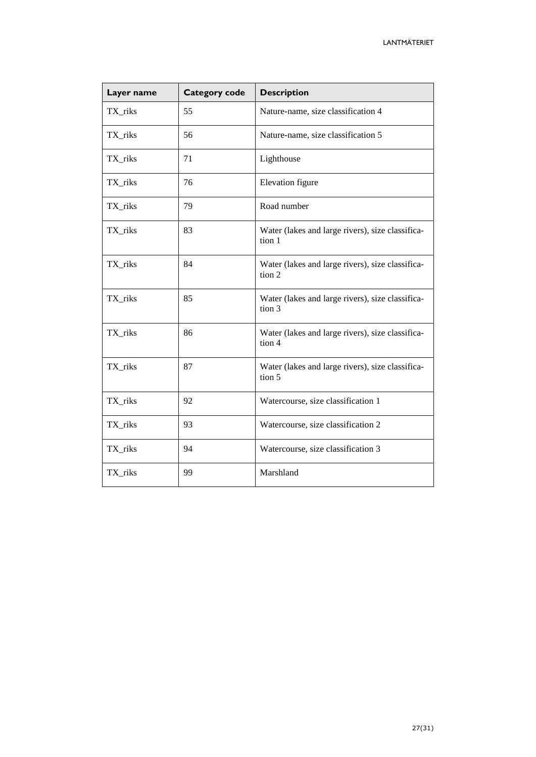| Layer name | Category code | <b>Description</b>                                         |  |
|------------|---------------|------------------------------------------------------------|--|
| TX_riks    | 55            | Nature-name, size classification 4                         |  |
| TX_riks    | 56            | Nature-name, size classification 5                         |  |
| TX_riks    | 71            | Lighthouse                                                 |  |
| TX_riks    | 76            | Elevation figure                                           |  |
| TX_riks    | 79            | Road number                                                |  |
| TX_riks    | 83            | Water (lakes and large rivers), size classifica-<br>tion 1 |  |
| TX_riks    | 84            | Water (lakes and large rivers), size classifica-<br>tion 2 |  |
| TX_riks    | 85            | Water (lakes and large rivers), size classifica-<br>tion 3 |  |
| TX_riks    | 86            | Water (lakes and large rivers), size classifica-<br>tion 4 |  |
| TX_riks    | 87            | Water (lakes and large rivers), size classifica-<br>tion 5 |  |
| TX_riks    | 92            | Watercourse, size classification 1                         |  |
| TX_riks    | 93            | Watercourse, size classification 2                         |  |
| TX_riks    | 94            | Watercourse, size classification 3                         |  |
| TX_riks    | 99            | Marshland                                                  |  |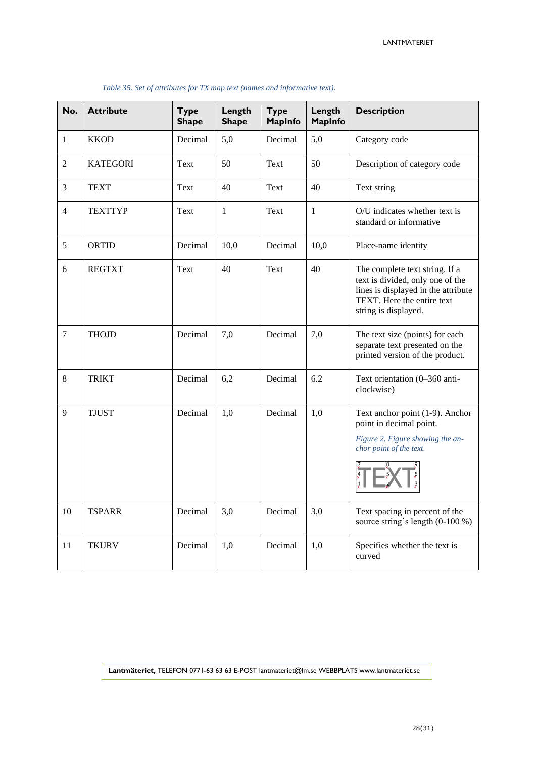| No.            | <b>Attribute</b> | <b>Type</b><br><b>Shape</b> | Length<br><b>Shape</b> | <b>Type</b><br><b>MapInfo</b> | Length<br><b>MapInfo</b> | <b>Description</b>                                                                                                                                              |
|----------------|------------------|-----------------------------|------------------------|-------------------------------|--------------------------|-----------------------------------------------------------------------------------------------------------------------------------------------------------------|
| $\mathbf{1}$   | <b>KKOD</b>      | Decimal                     | 5,0                    | Decimal                       | 5,0                      | Category code                                                                                                                                                   |
| $\overline{2}$ | <b>KATEGORI</b>  | Text                        | 50                     | Text                          | 50                       | Description of category code                                                                                                                                    |
| 3              | <b>TEXT</b>      | Text                        | 40                     | Text                          | 40                       | Text string                                                                                                                                                     |
| $\overline{4}$ | <b>TEXTTYP</b>   | Text                        | $\mathbf{1}$           | Text                          | $\mathbf{1}$             | O/U indicates whether text is<br>standard or informative                                                                                                        |
| 5              | <b>ORTID</b>     | Decimal                     | 10,0                   | Decimal                       | 10,0                     | Place-name identity                                                                                                                                             |
| 6              | <b>REGTXT</b>    | Text                        | 40                     | Text                          | 40                       | The complete text string. If a<br>text is divided, only one of the<br>lines is displayed in the attribute<br>TEXT. Here the entire text<br>string is displayed. |
| $\overline{7}$ | <b>THOJD</b>     | Decimal                     | 7,0                    | Decimal                       | 7,0                      | The text size (points) for each<br>separate text presented on the<br>printed version of the product.                                                            |
| 8              | <b>TRIKT</b>     | Decimal                     | 6,2                    | Decimal                       | 6.2                      | Text orientation (0-360 anti-<br>clockwise)                                                                                                                     |
| 9              | <b>TJUST</b>     | Decimal                     | 1,0                    | Decimal                       | 1,0                      | Text anchor point (1-9). Anchor<br>point in decimal point.<br>Figure 2. Figure showing the an-<br>chor point of the text.                                       |
| 10             | <b>TSPARR</b>    | Decimal                     | 3,0                    | Decimal                       | 3,0                      | Text spacing in percent of the<br>source string's length (0-100 %)                                                                                              |
| 11             | <b>TKURV</b>     | Decimal                     | 1,0                    | Decimal                       | 1,0                      | Specifies whether the text is<br>curved                                                                                                                         |

#### *Table 35. Set of attributes for TX map text (names and informative text).*

**Lantmäteriet,** TELEFON 0771-63 63 63 E-POST lantmateriet@lm.se WEBBPLATS www.lantmateriet.se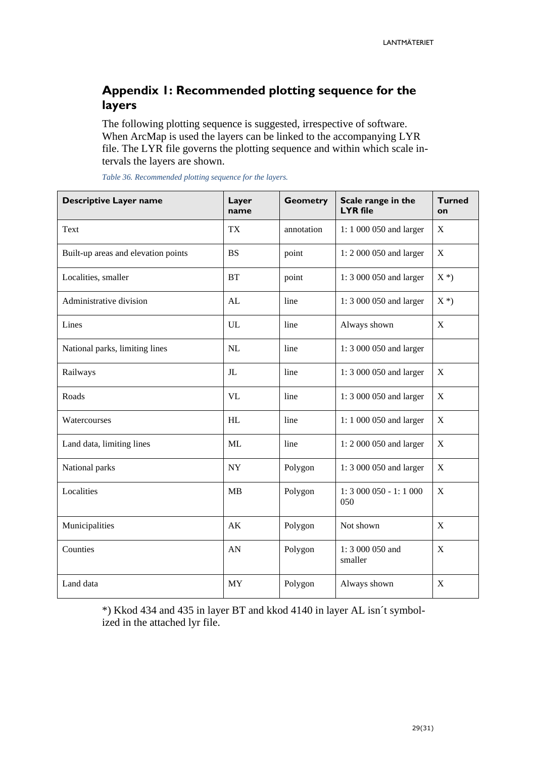# <span id="page-28-0"></span>**Appendix 1: Recommended plotting sequence for the layers**

The following plotting sequence is suggested, irrespective of software. When ArcMap is used the layers can be linked to the accompanying LYR file. The LYR file governs the plotting sequence and within which scale intervals the layers are shown.

| <b>Descriptive Layer name</b>       | Layer<br>name  | <b>Geometry</b> | Scale range in the<br><b>LYR</b> file | <b>Turned</b><br>on |
|-------------------------------------|----------------|-----------------|---------------------------------------|---------------------|
| Text                                | <b>TX</b>      | annotation      | 1:1 000 050 and larger                | X                   |
| Built-up areas and elevation points | <b>BS</b>      | point           | 1: 2 000 050 and larger               | $\mathbf X$         |
| Localities, smaller                 | <b>BT</b>      | point           | 1:3 000 050 and larger                | $X^*$               |
| Administrative division             | AL             | line            | 1:3 000 050 and larger                | $X^*$               |
| Lines                               | UL             | line            | Always shown                          | $\mathbf X$         |
| National parks, limiting lines      | NL             | line            | 1:3 000 050 and larger                |                     |
| Railways                            | J <sub>L</sub> | line            | 1:3 000 050 and larger                | X                   |
| Roads                               | <b>VL</b>      | line            | 1:3 000 050 and larger                | X                   |
| Watercourses                        | HL             | line            | 1:1 000 050 and larger                | $\boldsymbol{X}$    |
| Land data, limiting lines           | ML             | line            | 1: 2 000 050 and larger               | $\mathbf X$         |
| National parks                      | <b>NY</b>      | Polygon         | 1:3 000 050 and larger                | X                   |
| Localities                          | <b>MB</b>      | Polygon         | $1: 3000050 - 1: 1000$<br>050         | $\mathbf X$         |
| Municipalities                      | AK             | Polygon         | Not shown                             | X                   |
| Counties                            | AN             | Polygon         | 1:3 000 050 and<br>smaller            | X                   |
| Land data                           | <b>MY</b>      | Polygon         | Always shown                          | X                   |

*Table 36. Recommended plotting sequence for the layers.*

\*) Kkod 434 and 435 in layer BT and kkod 4140 in layer AL isn´t symbolized in the attached lyr file.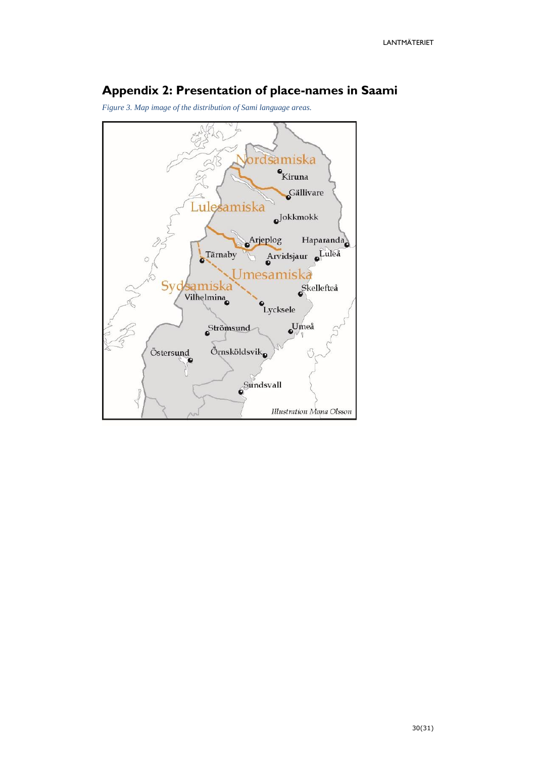# <span id="page-29-0"></span>**Appendix 2: Presentation of place-names in Saami**

*Figure 3. Map image of the distribution of Sami language areas.*